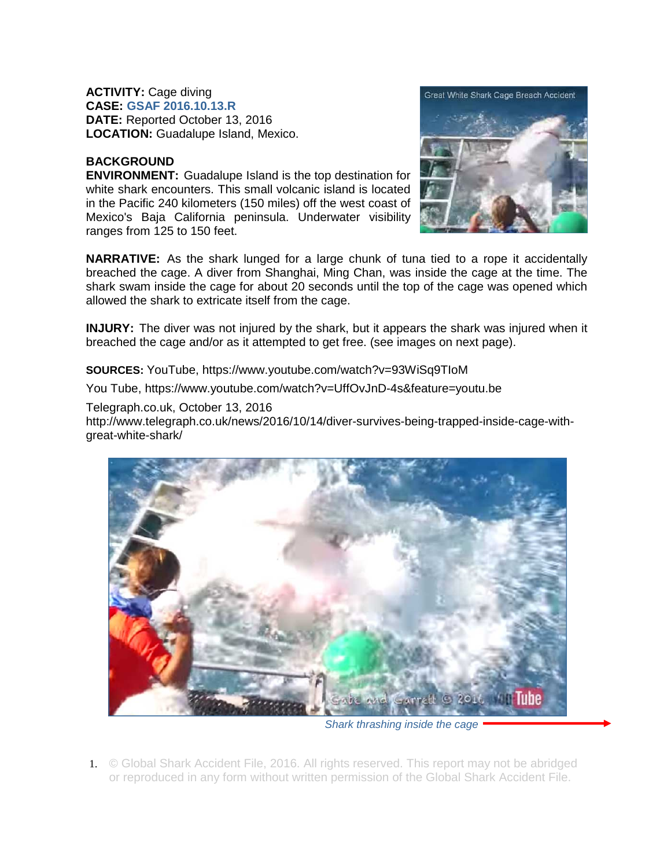**ACTIVITY:** Cage diving **CASE: GSAF 2016.10.13.R DATE:** Reported October 13, 2016 **LOCATION:** Guadalupe Island, Mexico.

## **BACKGROUND**

**ENVIRONMENT:** Guadalupe Island is the top destination for white shark encounters. This small volcanic island is located in the Pacific 240 kilometers (150 miles) off the west coast of Mexico's Baja California peninsula. Underwater visibility ranges from 125 to 150 feet.



**NARRATIVE:** As the shark lunged for a large chunk of tuna tied to a rope it accidentally breached the cage. A diver from Shanghai, Ming Chan, was inside the cage at the time. The shark swam inside the cage for about 20 seconds until the top of the cage was opened which allowed the shark to extricate itself from the cage.

**INJURY:** The diver was not injured by the shark, but it appears the shark was injured when it breached the cage and/or as it attempted to get free. (see images on next page).

**SOURCES:** YouTube, https://www.youtube.com/watch?v=93WiSq9TIoM

You Tube, https://www.youtube.com/watch?v=UffOvJnD-4s&feature=youtu.be

Telegraph.co.uk, October 13, 2016

http://www.telegraph.co.uk/news/2016/10/14/diver-survives-being-trapped-inside-cage-withgreat-white-shark/



*Shark thrashing inside the cage* 

1. © Global Shark Accident File, 2016. All rights reserved. This report may not be abridged or reproduced in any form without written permission of the Global Shark Accident File.